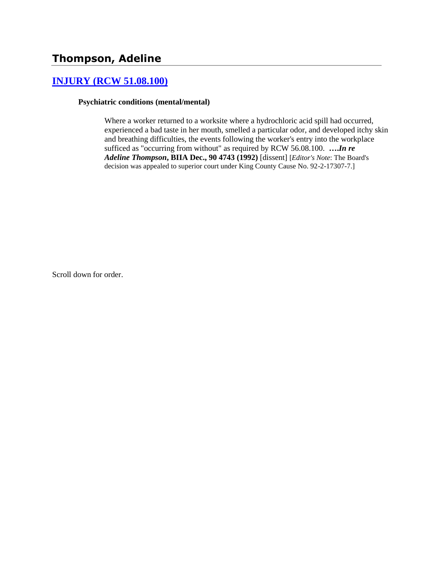## **[INJURY \(RCW 51.08.100\)](http://www.biia.wa.gov/SDSubjectIndex.html#INJURY)**

#### **Psychiatric conditions (mental/mental)**

Where a worker returned to a worksite where a hydrochloric acid spill had occurred, experienced a bad taste in her mouth, smelled a particular odor, and developed itchy skin and breathing difficulties, the events following the worker's entry into the workplace sufficed as "occurring from without" as required by RCW 56.08.100. **….***In re Adeline Thompson***, BIIA Dec., 90 4743 (1992)** [dissent] [*Editor's Note*: The Board's decision was appealed to superior court under King County Cause No. 92-2-17307-7.]

Scroll down for order.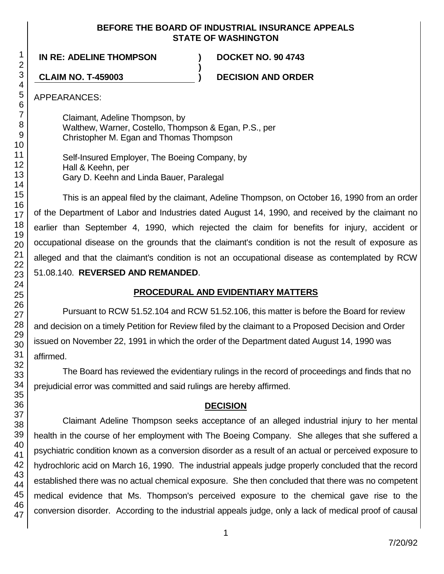### **BEFORE THE BOARD OF INDUSTRIAL INSURANCE APPEALS STATE OF WASHINGTON**

**)**

**IN RE: ADELINE THOMPSON ) DOCKET NO. 90 4743**

**CLAIM NO. T-459003 ) DECISION AND ORDER**

APPEARANCES:

Claimant, Adeline Thompson, by Walthew, Warner, Costello, Thompson & Egan, P.S., per Christopher M. Egan and Thomas Thompson

Self-Insured Employer, The Boeing Company, by Hall & Keehn, per Gary D. Keehn and Linda Bauer, Paralegal

This is an appeal filed by the claimant, Adeline Thompson, on October 16, 1990 from an order of the Department of Labor and Industries dated August 14, 1990, and received by the claimant no earlier than September 4, 1990, which rejected the claim for benefits for injury, accident or occupational disease on the grounds that the claimant's condition is not the result of exposure as alleged and that the claimant's condition is not an occupational disease as contemplated by RCW 51.08.140. **REVERSED AND REMANDED**.

## **PROCEDURAL AND EVIDENTIARY MATTERS**

Pursuant to RCW 51.52.104 and RCW 51.52.106, this matter is before the Board for review and decision on a timely Petition for Review filed by the claimant to a Proposed Decision and Order issued on November 22, 1991 in which the order of the Department dated August 14, 1990 was affirmed.

The Board has reviewed the evidentiary rulings in the record of proceedings and finds that no prejudicial error was committed and said rulings are hereby affirmed.

# **DECISION**

Claimant Adeline Thompson seeks acceptance of an alleged industrial injury to her mental health in the course of her employment with The Boeing Company. She alleges that she suffered a psychiatric condition known as a conversion disorder as a result of an actual or perceived exposure to hydrochloric acid on March 16, 1990. The industrial appeals judge properly concluded that the record established there was no actual chemical exposure. She then concluded that there was no competent medical evidence that Ms. Thompson's perceived exposure to the chemical gave rise to the conversion disorder. According to the industrial appeals judge, only a lack of medical proof of causal

1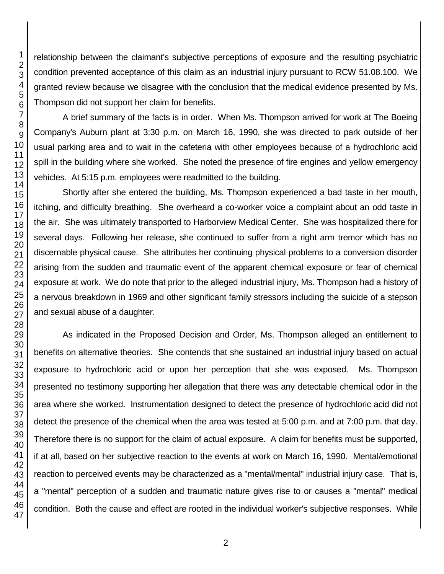relationship between the claimant's subjective perceptions of exposure and the resulting psychiatric condition prevented acceptance of this claim as an industrial injury pursuant to RCW 51.08.100. We granted review because we disagree with the conclusion that the medical evidence presented by Ms. Thompson did not support her claim for benefits.

A brief summary of the facts is in order. When Ms. Thompson arrived for work at The Boeing Company's Auburn plant at 3:30 p.m. on March 16, 1990, she was directed to park outside of her usual parking area and to wait in the cafeteria with other employees because of a hydrochloric acid spill in the building where she worked. She noted the presence of fire engines and yellow emergency vehicles. At 5:15 p.m. employees were readmitted to the building.

Shortly after she entered the building, Ms. Thompson experienced a bad taste in her mouth, itching, and difficulty breathing. She overheard a co-worker voice a complaint about an odd taste in the air. She was ultimately transported to Harborview Medical Center. She was hospitalized there for several days. Following her release, she continued to suffer from a right arm tremor which has no discernable physical cause. She attributes her continuing physical problems to a conversion disorder arising from the sudden and traumatic event of the apparent chemical exposure or fear of chemical exposure at work. We do note that prior to the alleged industrial injury, Ms. Thompson had a history of a nervous breakdown in 1969 and other significant family stressors including the suicide of a stepson and sexual abuse of a daughter.

As indicated in the Proposed Decision and Order, Ms. Thompson alleged an entitlement to benefits on alternative theories. She contends that she sustained an industrial injury based on actual exposure to hydrochloric acid or upon her perception that she was exposed. Ms. Thompson presented no testimony supporting her allegation that there was any detectable chemical odor in the area where she worked. Instrumentation designed to detect the presence of hydrochloric acid did not detect the presence of the chemical when the area was tested at 5:00 p.m. and at 7:00 p.m. that day. Therefore there is no support for the claim of actual exposure. A claim for benefits must be supported, if at all, based on her subjective reaction to the events at work on March 16, 1990. Mental/emotional reaction to perceived events may be characterized as a "mental/mental" industrial injury case. That is, a "mental" perception of a sudden and traumatic nature gives rise to or causes a "mental" medical condition. Both the cause and effect are rooted in the individual worker's subjective responses. While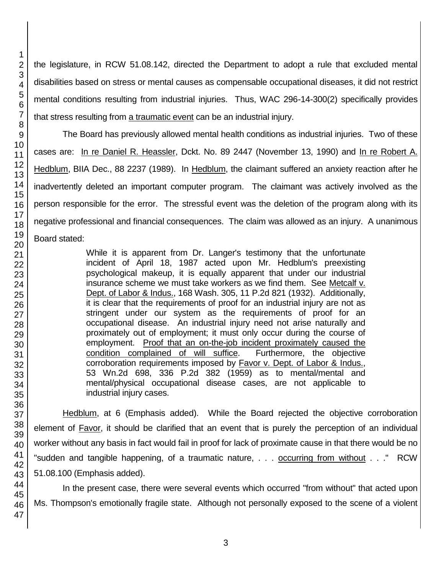the legislature, in RCW 51.08.142, directed the Department to adopt a rule that excluded mental disabilities based on stress or mental causes as compensable occupational diseases, it did not restrict mental conditions resulting from industrial injuries. Thus, WAC 296-14-300(2) specifically provides that stress resulting from a traumatic event can be an industrial injury.

The Board has previously allowed mental health conditions as industrial injuries. Two of these cases are: In re Daniel R. Heassler, Dckt. No. 89 2447 (November 13, 1990) and In re Robert A. Hedblum, BIIA Dec., 88 2237 (1989). In Hedblum, the claimant suffered an anxiety reaction after he inadvertently deleted an important computer program. The claimant was actively involved as the person responsible for the error. The stressful event was the deletion of the program along with its negative professional and financial consequences. The claim was allowed as an injury. A unanimous Board stated:

> While it is apparent from Dr. Langer's testimony that the unfortunate incident of April 18, 1987 acted upon Mr. Hedblum's preexisting psychological makeup, it is equally apparent that under our industrial insurance scheme we must take workers as we find them. See Metcalf v. Dept. of Labor & Indus., 168 Wash. 305, 11 P.2d 821 (1932). Additionally, it is clear that the requirements of proof for an industrial injury are not as stringent under our system as the requirements of proof for an occupational disease. An industrial injury need not arise naturally and proximately out of employment; it must only occur during the course of employment. Proof that an on-the-job incident proximately caused the condition complained of will suffice. Furthermore, the objective corroboration requirements imposed by Favor v. Dept. of Labor & Indus., 53 Wn.2d 698, 336 P.2d 382 (1959) as to mental/mental and mental/physical occupational disease cases, are not applicable to industrial injury cases.

Hedblum, at 6 (Emphasis added). While the Board rejected the objective corroboration element of Favor, it should be clarified that an event that is purely the perception of an individual worker without any basis in fact would fail in proof for lack of proximate cause in that there would be no "sudden and tangible happening, of a traumatic nature, . . . occurring from without . . ." RCW 51.08.100 (Emphasis added).

In the present case, there were several events which occurred "from without" that acted upon Ms. Thompson's emotionally fragile state. Although not personally exposed to the scene of a violent

1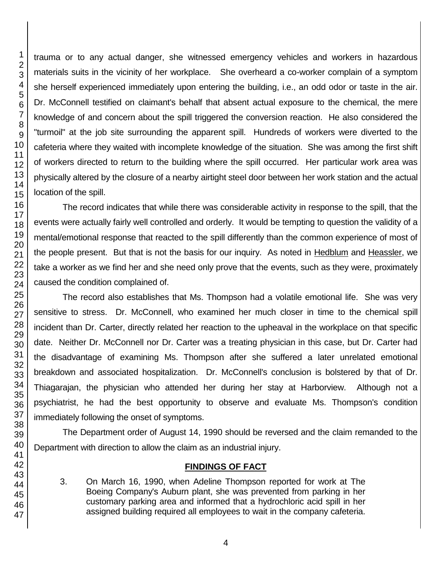trauma or to any actual danger, she witnessed emergency vehicles and workers in hazardous materials suits in the vicinity of her workplace. She overheard a co-worker complain of a symptom she herself experienced immediately upon entering the building, i.e., an odd odor or taste in the air. Dr. McConnell testified on claimant's behalf that absent actual exposure to the chemical, the mere knowledge of and concern about the spill triggered the conversion reaction. He also considered the "turmoil" at the job site surrounding the apparent spill. Hundreds of workers were diverted to the cafeteria where they waited with incomplete knowledge of the situation. She was among the first shift of workers directed to return to the building where the spill occurred. Her particular work area was physically altered by the closure of a nearby airtight steel door between her work station and the actual location of the spill.

The record indicates that while there was considerable activity in response to the spill, that the events were actually fairly well controlled and orderly. It would be tempting to question the validity of a mental/emotional response that reacted to the spill differently than the common experience of most of the people present. But that is not the basis for our inquiry. As noted in Hedblum and Heassler, we take a worker as we find her and she need only prove that the events, such as they were, proximately caused the condition complained of.

The record also establishes that Ms. Thompson had a volatile emotional life. She was very sensitive to stress. Dr. McConnell, who examined her much closer in time to the chemical spill incident than Dr. Carter, directly related her reaction to the upheaval in the workplace on that specific date. Neither Dr. McConnell nor Dr. Carter was a treating physician in this case, but Dr. Carter had the disadvantage of examining Ms. Thompson after she suffered a later unrelated emotional breakdown and associated hospitalization. Dr. McConnell's conclusion is bolstered by that of Dr. Thiagarajan, the physician who attended her during her stay at Harborview. Although not a psychiatrist, he had the best opportunity to observe and evaluate Ms. Thompson's condition immediately following the onset of symptoms.

The Department order of August 14, 1990 should be reversed and the claim remanded to the Department with direction to allow the claim as an industrial injury.

## **FINDINGS OF FACT**

3. On March 16, 1990, when Adeline Thompson reported for work at The Boeing Company's Auburn plant, she was prevented from parking in her customary parking area and informed that a hydrochloric acid spill in her assigned building required all employees to wait in the company cafeteria.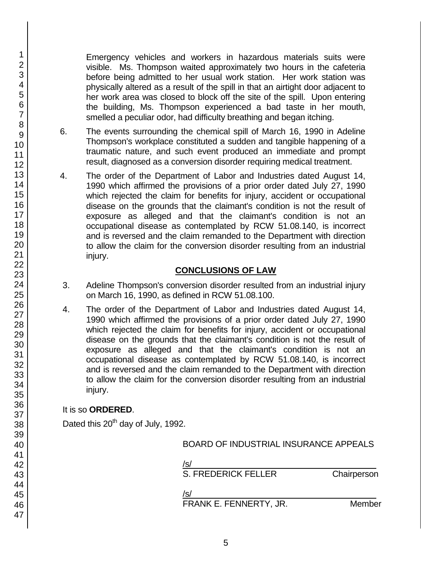Emergency vehicles and workers in hazardous materials suits were visible. Ms. Thompson waited approximately two hours in the cafeteria before being admitted to her usual work station. Her work station was physically altered as a result of the spill in that an airtight door adjacent to her work area was closed to block off the site of the spill. Upon entering the building, Ms. Thompson experienced a bad taste in her mouth, smelled a peculiar odor, had difficulty breathing and began itching.

- 6. The events surrounding the chemical spill of March 16, 1990 in Adeline Thompson's workplace constituted a sudden and tangible happening of a traumatic nature, and such event produced an immediate and prompt result, diagnosed as a conversion disorder requiring medical treatment.
- 4. The order of the Department of Labor and Industries dated August 14, 1990 which affirmed the provisions of a prior order dated July 27, 1990 which rejected the claim for benefits for injury, accident or occupational disease on the grounds that the claimant's condition is not the result of exposure as alleged and that the claimant's condition is not an occupational disease as contemplated by RCW 51.08.140, is incorrect and is reversed and the claim remanded to the Department with direction to allow the claim for the conversion disorder resulting from an industrial injury.

## **CONCLUSIONS OF LAW**

- 3. Adeline Thompson's conversion disorder resulted from an industrial injury on March 16, 1990, as defined in RCW 51.08.100.
- 4. The order of the Department of Labor and Industries dated August 14, 1990 which affirmed the provisions of a prior order dated July 27, 1990 which rejected the claim for benefits for injury, accident or occupational disease on the grounds that the claimant's condition is not the result of exposure as alleged and that the claimant's condition is not an occupational disease as contemplated by RCW 51.08.140, is incorrect and is reversed and the claim remanded to the Department with direction to allow the claim for the conversion disorder resulting from an industrial injury.

## It is so **ORDERED**.

Dated this 20<sup>th</sup> day of July, 1992.

BOARD OF INDUSTRIAL INSURANCE APPEALS

/s/  $\,$ 

S. FREDERICK FELLER Chairperson

/s/  $\,$ 

FRANK E. FENNERTY, JR. Member